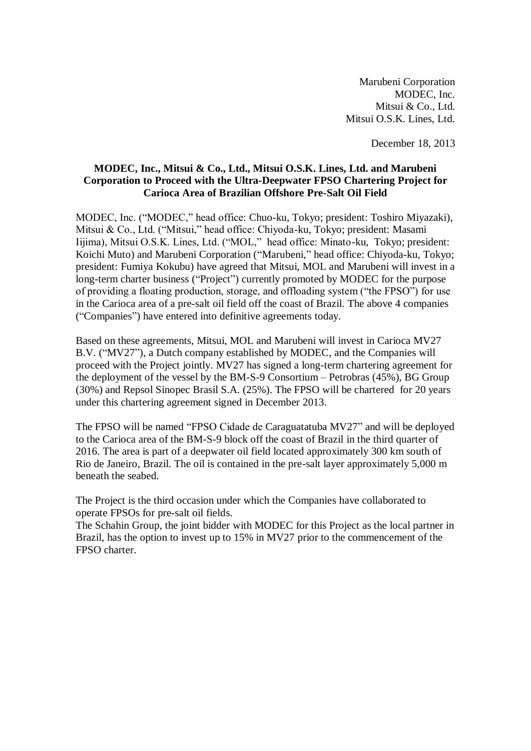Marubeni Corporation MODEC, Inc. Mitsui & Co., Ltd. Mitsui O.S.K. Lines, Ltd.

December 18, 2013

## **MODEC, Inc., Mitsui & Co., Ltd., Mitsui O.S.K. Lines, Ltd. and Marubeni Corporation to Proceed with the Ultra-Deepwater FPSO Chartering Project for Carioca Area of Brazilian Offshore Pre-Salt Oil Field**

MODEC, Inc. ("MODEC," head office: Chuo-ku, Tokyo; president: Toshiro Miyazaki), Mitsui & Co., Ltd. ("Mitsui," head office: Chiyoda-ku, Tokyo; president: Masami Iijima), Mitsui O.S.K. Lines, Ltd. ("MOL," head office: Minato-ku, Tokyo; president: Koichi Muto) and Marubeni Corporation ("Marubeni," head office: Chiyoda-ku, Tokyo; president: Fumiya Kokubu) have agreed that Mitsui, MOL and Marubeni will invest in a long-term charter business ("Project") currently promoted by MODEC for the purpose of providing a floating production, storage, and offloading system ("the FPSO") for use in the Carioca area of a pre-salt oil field off the coast of Brazil. The above 4 companies ("Companies") have entered into definitive agreements today.

Based on these agreements, Mitsui, MOL and Marubeni will invest in Carioca MV27 B.V. ("MV27"), a Dutch company established by MODEC, and the Companies will proceed with the Project jointly. MV27 has signed a long-term chartering agreement for the deployment of the vessel by the BM-S-9 Consortium – Petrobras (45%), BG Group (30%) and Repsol Sinopec Brasil S.A. (25%). The FPSO will be chartered for 20 years under this chartering agreement signed in December 2013.

The FPSO will be named "FPSO Cidade de Caraguatatuba MV27" and will be deployed to the Carioca area of the BM-S-9 block off the coast of Brazil in the third quarter of 2016. The area is part of a deepwater oil field located approximately 300 km south of Rio de Janeiro, Brazil. The oil is contained in the pre-salt layer approximately 5,000 m beneath the seabed.

The Project is the third occasion under which the Companies have collaborated to operate FPSOs for pre-salt oil fields.

The Schahin Group, the joint bidder with MODEC for this Project as the local partner in Brazil, has the option to invest up to 15% in MV27 prior to the commencement of the FPSO charter.